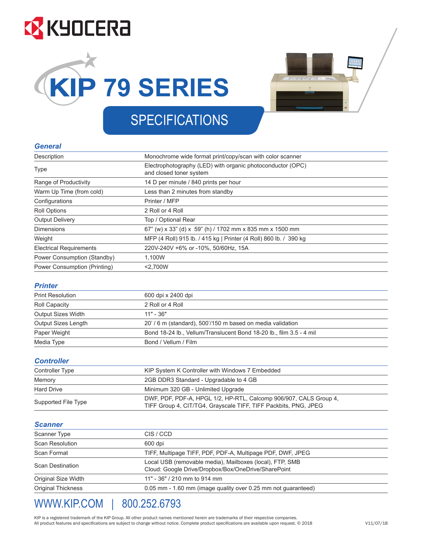# **EX KYOCERA**





## SPECIFICATIONS SPECIFICATIONS

### *General General*

| Description                    | Monochrome wide format print/copy/scan with color scanner                             |
|--------------------------------|---------------------------------------------------------------------------------------|
| <b>Type</b>                    | Electrophotography (LED) with organic photoconductor (OPC)<br>and closed toner system |
| Range of Productivity          | 14 D per minute / 840 prints per hour                                                 |
| Warm Up Time (from cold)       | Less than 2 minutes from standby                                                      |
| Configurations                 | Printer / MFP                                                                         |
| Roll Options                   | 2 Roll or 4 Roll                                                                      |
| <b>Output Delivery</b>         | Top / Optional Rear                                                                   |
| <b>Dimensions</b>              | 67" (w) x 33" (d) x 59" (h) / 1702 mm x 835 mm x 1500 mm                              |
| Weight                         | MFP (4 Roll) 915 lb. / 415 kg   Printer (4 Roll) 860 lb. / 390 kg                     |
| <b>Electrical Requirements</b> | 220V-240V +6% or -10%, 50/60Hz, 15A                                                   |
| Power Consumption (Standby)    | 1,100W                                                                                |
| Power Consumption (Printing)   | < 2.700W                                                                              |

### *Printer Printer*

| <b>Print Resolution</b> | 600 dpi x 2400 dpi                                                  |  |
|-------------------------|---------------------------------------------------------------------|--|
| Roll Capacity           | 2 Roll or 4 Roll                                                    |  |
| Output Sizes Width      | $11" - 36"$                                                         |  |
| Output Sizes Length     | 20' / 6 m (standard), 500'/150 m based on media validation          |  |
| Paper Weight            | Bond 18-24 lb., Vellum/Translucent Bond 18-20 lb., film 3.5 - 4 mil |  |
| Media Type              | Bond / Vellum / Film                                                |  |

### *Controller Controller*

| Controller Type     | KIP System K Controller with Windows 7 Embedded                                                                                      |
|---------------------|--------------------------------------------------------------------------------------------------------------------------------------|
| Memory              | 2GB DDR3 Standard - Upgradable to 4 GB                                                                                               |
| <b>Hard Drive</b>   | Minimum 320 GB - Unlimited Upgrade                                                                                                   |
| Supported File Type | DWF, PDF, PDF-A, HPGL 1/2, HP-RTL, Calcomp 906/907, CALS Group 4,<br>TIFF Group 4, CIT/TG4, Grayscale TIFF, TIFF Packbits, PNG, JPEG |

### *Scanner Scanner*

| Scanner Type              | CIS / CCD                                                                                                       |  |
|---------------------------|-----------------------------------------------------------------------------------------------------------------|--|
| <b>Scan Resolution</b>    | 600 dpi                                                                                                         |  |
| Scan Format               | TIFF, Multipage TIFF, PDF, PDF-A, Multipage PDF, DWF, JPEG                                                      |  |
| <b>Scan Destination</b>   | Local USB (removable media), Mailboxes (local), FTP, SMB<br>Cloud: Google Drive/Dropbox/Box/OneDrive/SharePoint |  |
| Original Size Width       | 11" - 36" / 210 mm to 914 mm                                                                                    |  |
| <b>Original Thickness</b> | 0.05 mm - 1.60 mm (image quality over 0.25 mm not guaranteed)                                                   |  |
|                           |                                                                                                                 |  |

### WWW.KIP.COM | 800.252.6793 WWW.KIP.COM | 800.252.6793

All product features and specifications are subject to change without notice. Complete product specifications are available upon request. © 2018 KIP is a registered trademark of the KIP Group. All other product names mentioned herein are trademarks of their respective companies.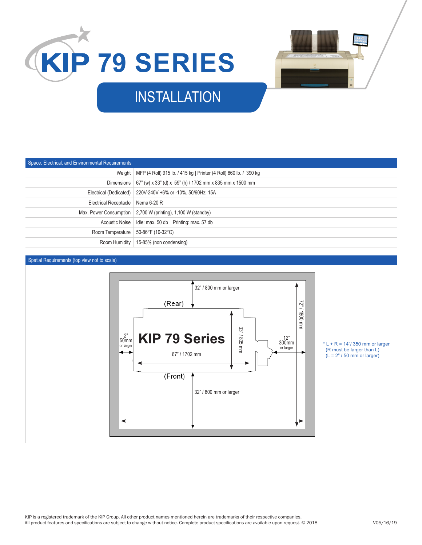



### INSTALLATION

| Space, Electrical, and Environmental Requirements |                                                                            |
|---------------------------------------------------|----------------------------------------------------------------------------|
|                                                   | Weight   MFP (4 Roll) 915 lb. / 415 kg   Printer (4 Roll) 860 lb. / 390 kg |
|                                                   | Dimensions   67" (w) x 33" (d) x 59" (h) / 1702 mm x 835 mm x 1500 mm      |
|                                                   | Electrical (Dedicated)   220V-240V +6% or -10%, 50/60Hz, 15A               |
| Electrical Receptacle   Nema 6-20 R               |                                                                            |
|                                                   | Max. Power Consumption 2,700 W (printing), 1,100 W (standby)               |
|                                                   |                                                                            |
| Room Temperature   50-86°F (10-32°C)              |                                                                            |
|                                                   | Room Humidity   15-85% (non condensing)                                    |

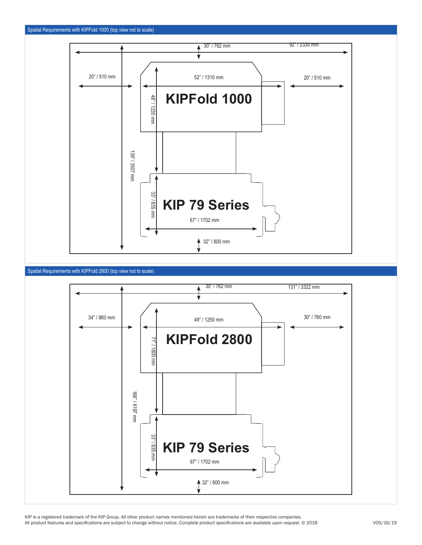





KIP is a registered trademark of the KIP Group. All other product names mentioned herein are trademarks of their respective companies. All product features and specifications are subject to change without notice. Complete product specifications are available upon request. © 2018